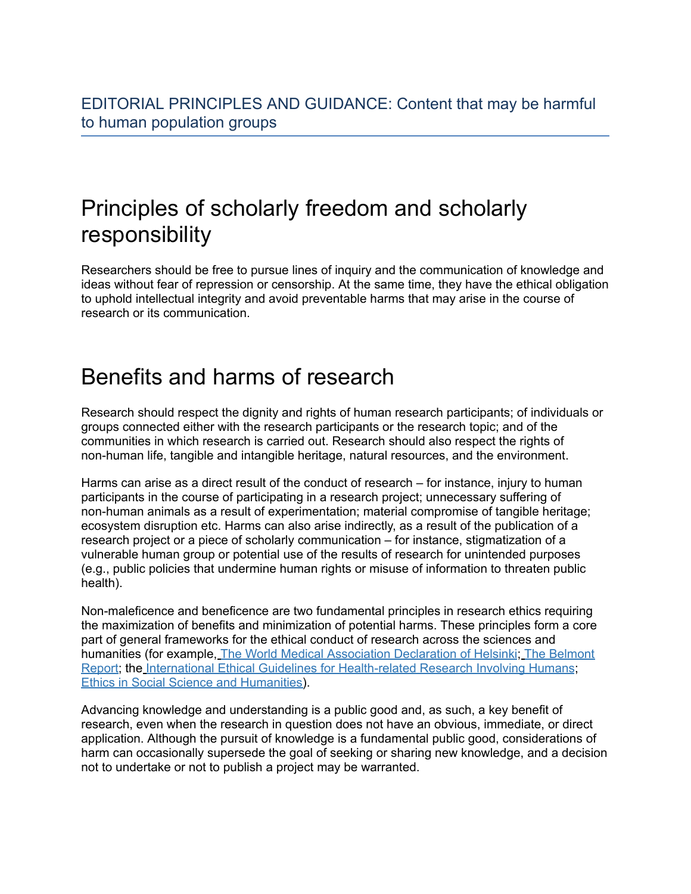## Principles of scholarly freedom and scholarly responsibility

Researchers should be free to pursue lines of inquiry and the communication of knowledge and ideas without fear of repression or censorship. At the same time, they have the ethical obligation to uphold intellectual integrity and avoid preventable harms that may arise in the course of research or its communication.

## Benefits and harms of research

Research should respect the dignity and rights of human research participants; of individuals or groups connected either with the research participants or the research topic; and of the communities in which research is carried out. Research should also respect the rights of non-human life, tangible and intangible heritage, natural resources, and the environment.

Harms can arise as a direct result of the conduct of research – for instance, injury to human participants in the course of participating in a research project; unnecessary suffering of non-human animals as a result of experimentation; material compromise of tangible heritage; ecosystem disruption etc. Harms can also arise indirectly, as a result of the publication of a research project or a piece of scholarly communication – for instance, stigmatization of a vulnerable human group or potential use of the results of research for unintended purposes (e.g., public policies that undermine human rights or misuse of information to threaten public health).

Non-maleficence and beneficence are two fundamental principles in research ethics requiring the maximization of benefits and minimization of potential harms. These principles form a core part of general frameworks for the ethical conduct of research across the sciences and humanities (for example, The World Medical [Association](https://www.wma.net/policies-post/wma-declaration-of-helsinki-ethical-principles-for-medical-research-involving-human-subjects/) Declaration of Helsinki; The [Belmont](https://www.hhs.gov/ohrp/regulations-and-policy/belmont-report/read-the-belmont-report/index.html) [Report](https://www.hhs.gov/ohrp/regulations-and-policy/belmont-report/read-the-belmont-report/index.html); the International Ethical Guidelines for [Health-related](https://cioms.ch/wp-content/uploads/2017/01/WEB-CIOMS-EthicalGuidelines.pdf) Research Involving Humans; Ethics in Social Science and [Humanities](https://ec.europa.eu/info/sites/info/files/6._h2020_ethics-soc-science-humanities_en.pdf)).

Advancing knowledge and understanding is a public good and, as such, a key benefit of research, even when the research in question does not have an obvious, immediate, or direct application. Although the pursuit of knowledge is a fundamental public good, considerations of harm can occasionally supersede the goal of seeking or sharing new knowledge, and a decision not to undertake or not to publish a project may be warranted.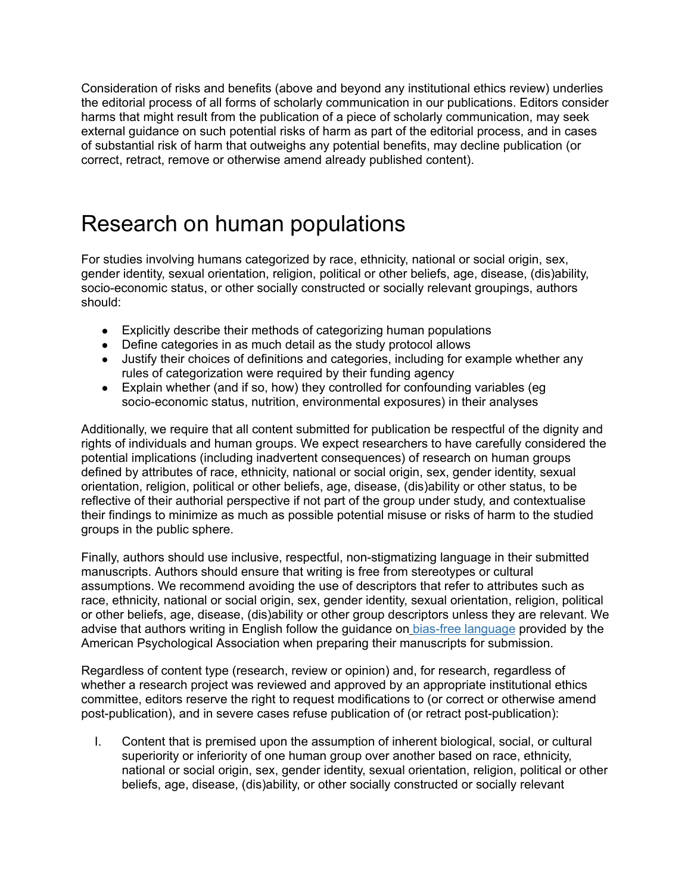Consideration of risks and benefits (above and beyond any institutional ethics review) underlies the editorial process of all forms of scholarly communication in our publications. Editors consider harms that might result from the publication of a piece of scholarly communication, may seek external guidance on such potential risks of harm as part of the editorial process, and in cases of substantial risk of harm that outweighs any potential benefits, may decline publication (or correct, retract, remove or otherwise amend already published content).

# Research on human populations

For studies involving humans categorized by race, ethnicity, national or social origin, sex, gender identity, sexual orientation, religion, political or other beliefs, age, disease, (dis)ability, socio-economic status, or other socially constructed or socially relevant groupings, authors should:

- Explicitly describe their methods of categorizing human populations
- Define categories in as much detail as the study protocol allows
- Justify their choices of definitions and categories, including for example whether any rules of categorization were required by their funding agency
- Explain whether (and if so, how) they controlled for confounding variables (eg socio-economic status, nutrition, environmental exposures) in their analyses

Additionally, we require that all content submitted for publication be respectful of the dignity and rights of individuals and human groups. We expect researchers to have carefully considered the potential implications (including inadvertent consequences) of research on human groups defined by attributes of race, ethnicity, national or social origin, sex, gender identity, sexual orientation, religion, political or other beliefs, age, disease, (dis)ability or other status, to be reflective of their authorial perspective if not part of the group under study, and contextualise their findings to minimize as much as possible potential misuse or risks of harm to the studied groups in the public sphere.

Finally, authors should use inclusive, respectful, non-stigmatizing language in their submitted manuscripts. Authors should ensure that writing is free from stereotypes or cultural assumptions. We recommend avoiding the use of descriptors that refer to attributes such as race, ethnicity, national or social origin, sex, gender identity, sexual orientation, religion, political or other beliefs, age, disease, (dis)ability or other group descriptors unless they are relevant. We advise that authors writing in English follow the guidance on bias-free [language](https://apastyle.apa.org/style-grammar-guidelines/bias-free-language) provided by the American Psychological Association when preparing their manuscripts for submission.

Regardless of content type (research, review or opinion) and, for research, regardless of whether a research project was reviewed and approved by an appropriate institutional ethics committee, editors reserve the right to request modifications to (or correct or otherwise amend post-publication), and in severe cases refuse publication of (or retract post-publication):

I. Content that is premised upon the assumption of inherent biological, social, or cultural superiority or inferiority of one human group over another based on race, ethnicity, national or social origin, sex, gender identity, sexual orientation, religion, political or other beliefs, age, disease, (dis)ability, or other socially constructed or socially relevant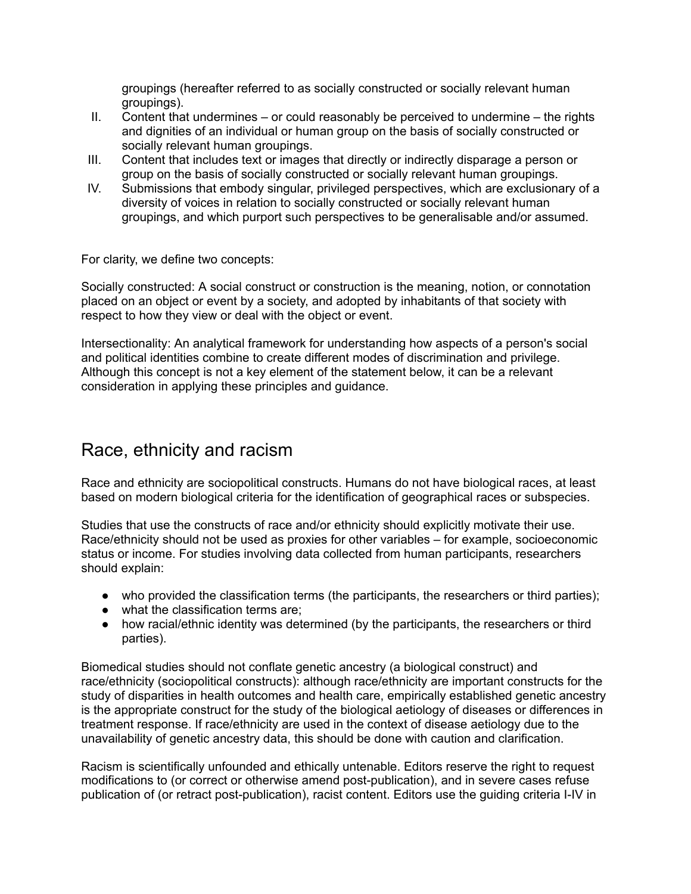groupings (hereafter referred to as socially constructed or socially relevant human groupings).

- II. Content that undermines or could reasonably be perceived to undermine the rights and dignities of an individual or human group on the basis of socially constructed or socially relevant human groupings.
- III. Content that includes text or images that directly or indirectly disparage a person or group on the basis of socially constructed or socially relevant human groupings.
- IV. Submissions that embody singular, privileged perspectives, which are exclusionary of a diversity of voices in relation to socially constructed or socially relevant human groupings, and which purport such perspectives to be generalisable and/or assumed.

For clarity, we define two concepts:

Socially constructed: A social construct or construction is the meaning, notion, or connotation placed on an object or event by a society, and adopted by inhabitants of that society with respect to how they view or deal with the object or event.

Intersectionality: An analytical framework for understanding how aspects of a person's social and political identities combine to create different modes of discrimination and privilege. Although this concept is not a key element of the statement below, it can be a relevant consideration in applying these principles and guidance.

### Race, ethnicity and racism

Race and ethnicity are sociopolitical constructs. Humans do not have biological races, at least based on modern biological criteria for the identification of geographical races or subspecies.

Studies that use the constructs of race and/or ethnicity should explicitly motivate their use. Race/ethnicity should not be used as proxies for other variables – for example, socioeconomic status or income. For studies involving data collected from human participants, researchers should explain:

- who provided the classification terms (the participants, the researchers or third parties);
- what the classification terms are;
- how racial/ethnic identity was determined (by the participants, the researchers or third parties).

Biomedical studies should not conflate genetic ancestry (a biological construct) and race/ethnicity (sociopolitical constructs): although race/ethnicity are important constructs for the study of disparities in health outcomes and health care, empirically established genetic ancestry is the appropriate construct for the study of the biological aetiology of diseases or differences in treatment response. If race/ethnicity are used in the context of disease aetiology due to the unavailability of genetic ancestry data, this should be done with caution and clarification.

Racism is scientifically unfounded and ethically untenable. Editors reserve the right to request modifications to (or correct or otherwise amend post-publication), and in severe cases refuse publication of (or retract post-publication), racist content. Editors use the guiding criteria I-IV in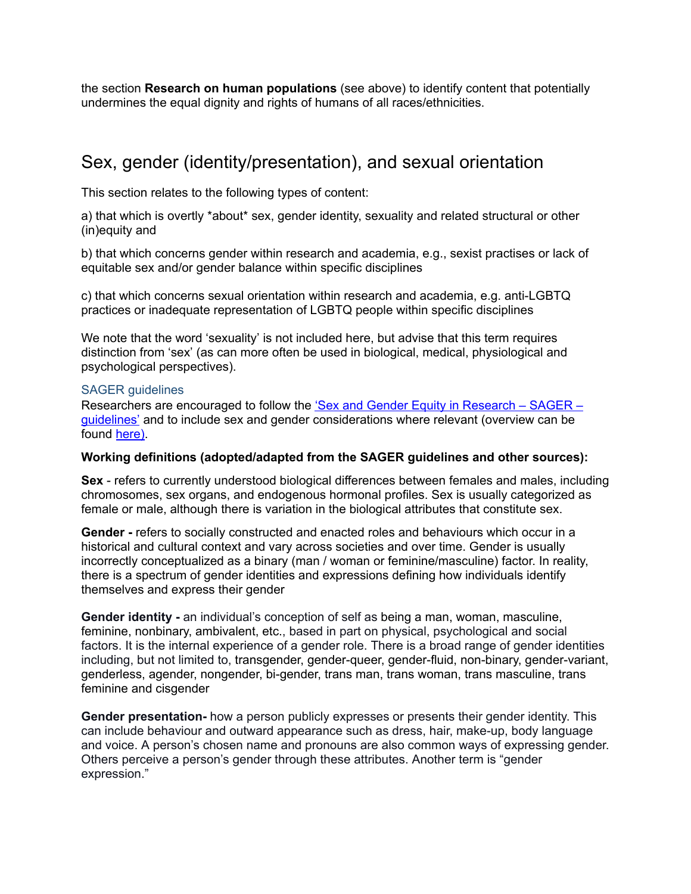the section **Research on human populations** (see above) to identify content that potentially undermines the equal dignity and rights of humans of all races/ethnicities.

### Sex, gender (identity/presentation), and sexual orientation

This section relates to the following types of content:

a) that which is overtly \*about\* sex, gender identity, sexuality and related structural or other (in)equity and

b) that which concerns gender within research and academia, e.g., sexist practises or lack of equitable sex and/or gender balance within specific disciplines

c) that which concerns sexual orientation within research and academia, e.g. anti-LGBTQ practices or inadequate representation of LGBTQ people within specific disciplines

We note that the word 'sexuality' is not included here, but advise that this term requires distinction from 'sex' (as can more often be used in biological, medical, physiological and psychological perspectives).

#### SAGER guidelines

[Research](https://researchintegrityjournal.biomedcentral.com/articles/10.1186/s41073-016-0007-6)ers are encouraged to follow the 'Sex and Gender Equity in Research – SAGER – [guidelines'](https://researchintegrityjournal.biomedcentral.com/articles/10.1186/s41073-016-0007-6) and to include sex and gender considerations where relevant (overview can be found [here](https://www.ease.org.uk/wp-content/uploads/2016/09/Sager.for-web.pdf)).

#### **Working definitions (adopted/adapted from the SAGER guidelines and other sources):**

**Sex** - refers to currently understood biological differences between females and males, including chromosomes, sex organs, and endogenous hormonal profiles. Sex is usually categorized as female or male, although there is variation in the biological attributes that constitute sex.

**Gender -** refers to socially constructed and enacted roles and behaviours which occur in a historical and cultural context and vary across societies and over time. Gender is usually incorrectly conceptualized as a binary (man / woman or feminine/masculine) factor. In reality, there is a spectrum of gender identities and expressions defining how individuals identify themselves and express their gender

**Gender identity -** an individual's conception of self as being a man, woman, masculine, feminine, nonbinary, ambivalent, etc., based in part on physical, psychological and social factors. It is the internal experience of a gender role. There is a broad range of gender identities including, but not limited to, transgender, gender-queer, gender-fluid, non-binary, gender-variant, genderless, agender, nongender, bi-gender, trans man, trans woman, trans masculine, trans feminine and cisgender

**Gender presentation-** how a person publicly expresses or presents their gender identity. This can include behaviour and outward appearance such as dress, hair, make-up, body language and voice. A person's chosen name and pronouns are also common ways of expressing gender. Others perceive a person's gender through these attributes. Another term is "gender expression."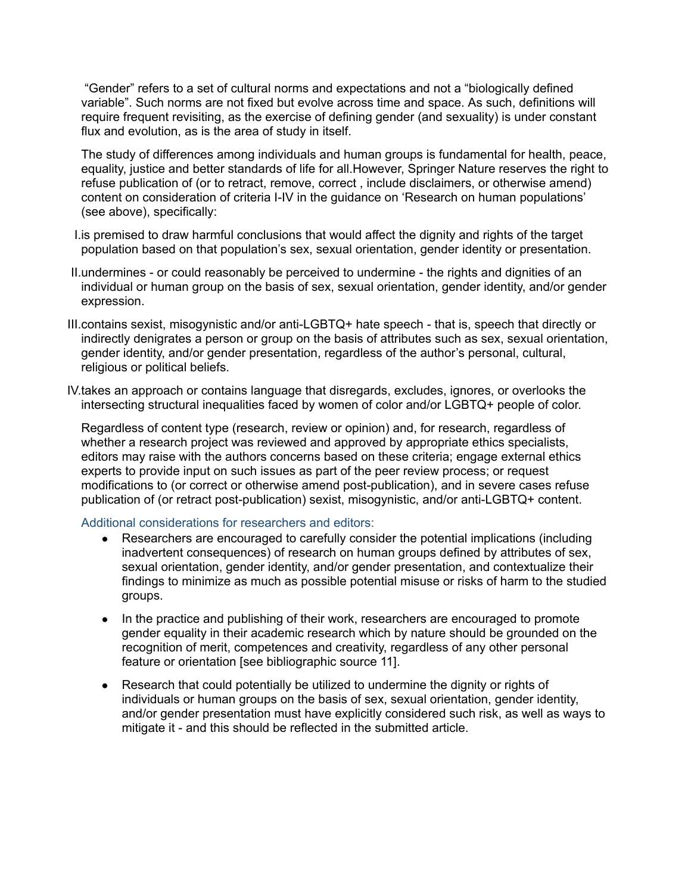"Gender" refers to a set of cultural norms and expectations and not a "biologically defined variable". Such norms are not fixed but evolve across time and space. As such, definitions will require frequent revisiting, as the exercise of defining gender (and sexuality) is under constant flux and evolution, as is the area of study in itself.

The study of differences among individuals and human groups is fundamental for health, peace, equality, justice and better standards of life for all.However, Springer Nature reserves the right to refuse publication of (or to retract, remove, correct , include disclaimers, or otherwise amend) content on consideration of criteria I-IV in the guidance on 'Research on human populations' (see above), specifically:

- I.is premised to draw harmful conclusions that would affect the dignity and rights of the target population based on that population's sex, sexual orientation, gender identity or presentation.
- II.undermines or could reasonably be perceived to undermine the rights and dignities of an individual or human group on the basis of sex, sexual orientation, gender identity, and/or gender expression.
- III.contains sexist, misogynistic and/or anti-LGBTQ+ hate speech that is, speech that directly or indirectly denigrates a person or group on the basis of attributes such as sex, sexual orientation, gender identity, and/or gender presentation, regardless of the author's personal, cultural, religious or political beliefs.
- IV.takes an approach or contains language that disregards, excludes, ignores, or overlooks the intersecting structural inequalities faced by women of color and/or LGBTQ+ people of color.

Regardless of content type (research, review or opinion) and, for research, regardless of whether a research project was reviewed and approved by appropriate ethics specialists, editors may raise with the authors concerns based on these criteria; engage external ethics experts to provide input on such issues as part of the peer review process; or request modifications to (or correct or otherwise amend post-publication), and in severe cases refuse publication of (or retract post-publication) sexist, misogynistic, and/or anti-LGBTQ+ content.

#### Additional considerations for researchers and editors:

- Researchers are encouraged to carefully consider the potential implications (including inadvertent consequences) of research on human groups defined by attributes of sex, sexual orientation, gender identity, and/or gender presentation, and contextualize their findings to minimize as much as possible potential misuse or risks of harm to the studied groups.
- In the practice and publishing of their work, researchers are encouraged to promote gender equality in their academic research which by nature should be grounded on the recognition of merit, competences and creativity, regardless of any other personal feature or orientation [see bibliographic source 11].
- Research that could potentially be utilized to undermine the dignity or rights of individuals or human groups on the basis of sex, sexual orientation, gender identity, and/or gender presentation must have explicitly considered such risk, as well as ways to mitigate it - and this should be reflected in the submitted article.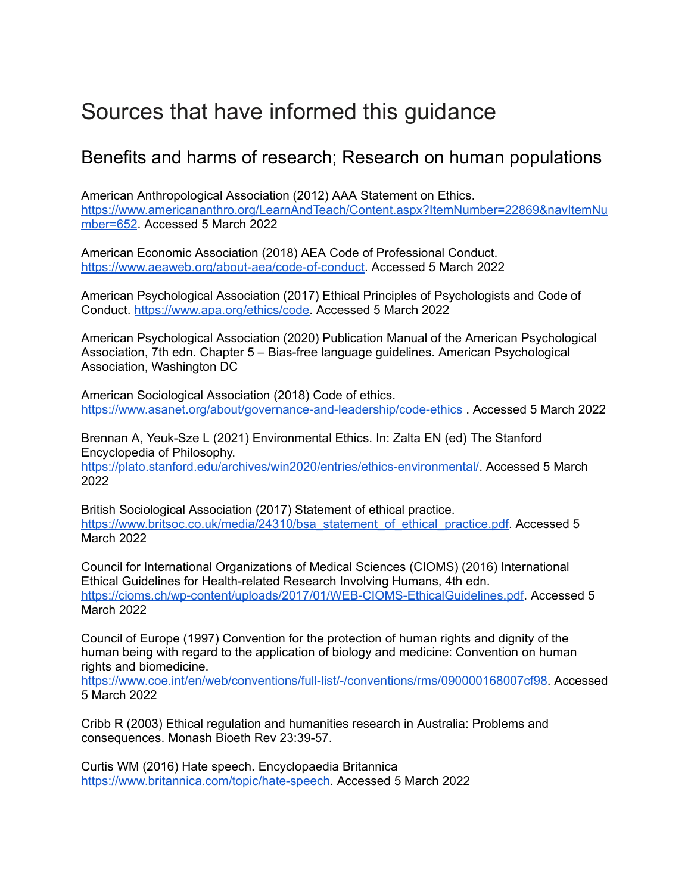## Sources that have informed this guidance

### Benefits and harms of research; Research on human populations

American Anthropological Association (2012) AAA Statement on Ethics. [https://www.americananthro.org/LearnAndTeach/Content.aspx?ItemNumber=22869&navItemNu](https://www.americananthro.org/LearnAndTeach/Content.aspx?ItemNumber=22869&navItemNumber=652) [mber=652.](https://www.americananthro.org/LearnAndTeach/Content.aspx?ItemNumber=22869&navItemNumber=652) Accessed 5 March 2022

American Economic Association (2018) AEA Code of Professional Conduct[.](https://www.aeaweb.org/about-aea/code-of-conduct) <https://www.aeaweb.org/about-aea/code-of-conduct>. Accessed 5 March 2022

American Psychological Association (2017) Ethical Principles of Psychologists and Code of Conduct. <https://www.apa.org/ethics/code>. Accessed 5 March 2022

American Psychological Association (2020) Publication Manual of the American Psychological Association, 7th edn. Chapter 5 – Bias-free language guidelines. American Psychological Association, Washington DC

American Sociological Association (2018) Code of ethics. <https://www.asanet.org/about/governance-and-leadership/code-ethics> . Accessed 5 March 2022

Brennan A, Yeuk-Sze L (2021) Environmental Ethics. In: Zalta EN (ed) The Stanford Encyclopedia of Philosophy[.](https://plato.stanford.edu/archives/win2020/entries/ethics-environmental/)

<https://plato.stanford.edu/archives/win2020/entries/ethics-environmental/>. Accessed 5 March 2022

British Sociological Association (2017) Statement of ethical practice. [https://www.britsoc.co.uk/media/24310/bsa\\_statement\\_of\\_ethical\\_practice.pdf.](https://www.britsoc.co.uk/media/24310/bsa_statement_of_ethical_practice.pdf) Accessed 5 March 2022

Council for International Organizations of Medical Sciences (CIOMS) (2016) International Ethical Guidelines for Health-related Research Involving Humans, 4th edn[.](https://cioms.ch/wp-content/uploads/2017/01/WEB-CIOMS-EthicalGuidelines.pdf) <https://cioms.ch/wp-content/uploads/2017/01/WEB-CIOMS-EthicalGuidelines.pdf>. Accessed 5 March 2022

Council of Europe (1997) Convention for the protection of human rights and dignity of the human being with regard to the application of biology and medicine: Convention on human rights and biomedicine[.](https://www.coe.int/en/web/conventions/full-list/-/conventions/rms/090000168007cf98)

<https://www.coe.int/en/web/conventions/full-list/-/conventions/rms/090000168007cf98>. Accessed 5 March 2022

Cribb R (2003) Ethical regulation and humanities research in Australia: Problems and consequences. Monash Bioeth Rev 23:39-57.

Curtis WM (2016) Hate speech. Encyclopaedia Britannic[a](https://www.britannica.com/topic/hate-speech) <https://www.britannica.com/topic/hate-speech>. Accessed 5 March 2022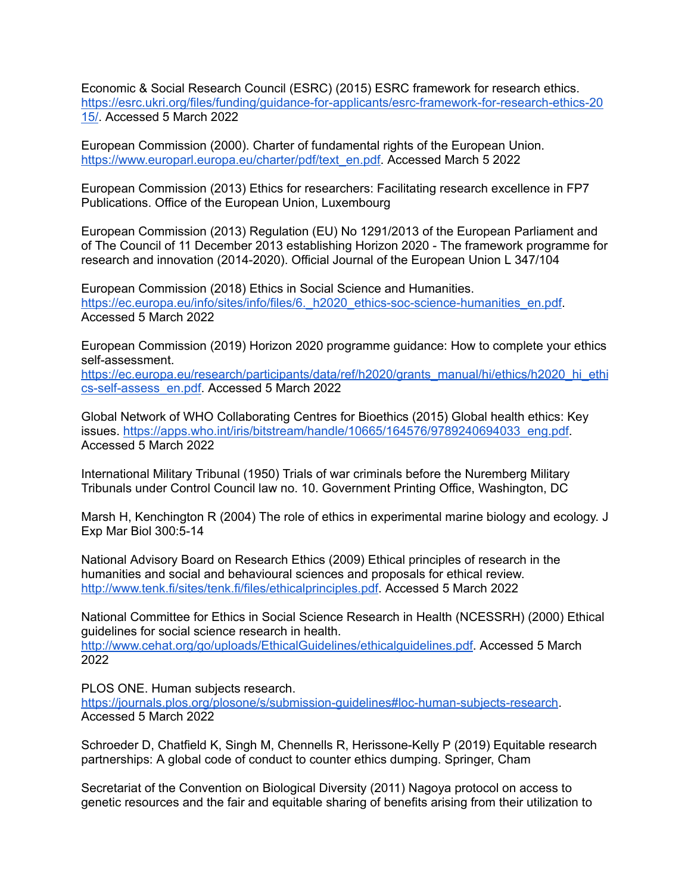Economic & Social Research Council (ESRC) (2015) ESRC framework for research ethics. [https://esrc.ukri.org/files/funding/guidance-for-applicants/esrc-framework-for-research-ethics-20](https://esrc.ukri.org/files/funding/guidance-for-applicants/esrc-framework-for-research-ethics-2015/) [15/](https://esrc.ukri.org/files/funding/guidance-for-applicants/esrc-framework-for-research-ethics-2015/). Accessed 5 March 2022

European Commission (2000). Charter of fundamental rights of the European Union. [https://www.europarl.europa.eu/charter/pdf/text\\_en.pdf.](https://www.europarl.europa.eu/charter/pdf/text_en.pdf) Accessed March 5 2022

European Commission (2013) Ethics for researchers: Facilitating research excellence in FP7 Publications. Office of the European Union, Luxembourg

European Commission (2013) Regulation (EU) No 1291/2013 of the European Parliament and of The Council of 11 December 2013 establishing Horizon 2020 - The framework programme for research and innovation (2014-2020). Official Journal of the European Union L 347/104

European Commission (2018) Ethics in Social Science and Humanities[.](https://ec.europa.eu/info/sites/info/files/6._h2020_ethics-soc-science-humanities_en.pdf) https://ec.europa.eu/info/sites/info/files/6. h2020 ethics-soc-science-humanities en.pdf. Accessed 5 March 2022

European Commission (2019) Horizon 2020 programme guidance: How to complete your ethics self-assessment[.](https://ec.europa.eu/research/participants/data/ref/h2020/grants_manual/hi/ethics/h2020_hi_ethics-self-assess_en.pdf)

[https://ec.europa.eu/research/participants/data/ref/h2020/grants\\_manual/hi/ethics/h2020\\_hi\\_ethi](https://ec.europa.eu/research/participants/data/ref/h2020/grants_manual/hi/ethics/h2020_hi_ethics-self-assess_en.pdf) [cs-self-assess\\_en.pdf](https://ec.europa.eu/research/participants/data/ref/h2020/grants_manual/hi/ethics/h2020_hi_ethics-self-assess_en.pdf). Accessed 5 March 2022

Global Network of WHO Collaborating Centres for Bioethics (2015) Global health ethics: Key issues. [https://apps.who.int/iris/bitstream/handle/10665/164576/9789240694033\\_eng.pdf](https://apps.who.int/iris/bitstream/handle/10665/164576/9789240694033_eng.pdf). Accessed 5 March 2022

International Military Tribunal (1950) Trials of war criminals before the Nuremberg Military Tribunals under Control Council law no. 10. Government Printing Office, Washington, DC

Marsh H, Kenchington R (2004) The role of ethics in experimental marine biology and ecology. J Exp Mar Biol 300:5-14

National Advisory Board on Research Ethics (2009) Ethical principles of research in the humanities and social and behavioural sciences and proposals for ethical review. <http://www.tenk.fi/sites/tenk.fi/files/ethicalprinciples.pdf>. Accessed 5 March 2022

National Committee for Ethics in Social Science Research in Health (NCESSRH) (2000) Ethical guidelines for social science research in health.

<http://www.cehat.org/go/uploads/EthicalGuidelines/ethicalguidelines.pdf>. Accessed 5 March 2022

PLOS ONE. Human subjects research[.](https://journals.plos.org/plosone/s/submission-guidelines#loc-human-subjects-research)

[https://journals.plos.org/plosone/s/submission-guidelines#loc-human-subjects-research.](https://journals.plos.org/plosone/s/submission-guidelines#loc-human-subjects-research) Accessed 5 March 2022

Schroeder D, Chatfield K, Singh M, Chennells R, Herissone-Kelly P (2019) Equitable research partnerships: A global code of conduct to counter ethics dumping. Springer, Cham

Secretariat of the Convention on Biological Diversity (2011) Nagoya protocol on access to genetic resources and the fair and equitable sharing of benefits arising from their utilization to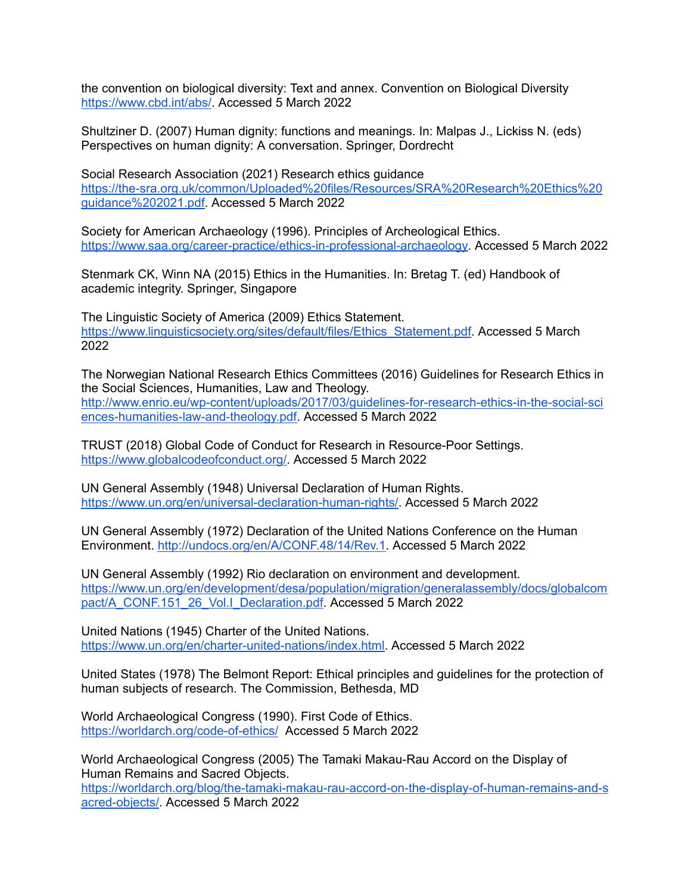the convention on biological diversity: Text and annex. Convention on Biological Diversit[y](https://www.cbd.int/abs/) [https://www.cbd.int/abs/.](https://www.cbd.int/abs/) Accessed 5 March 2022

Shultziner D. (2007) Human dignity: functions and meanings. In: Malpas J., Lickiss N. (eds) Perspectives on human dignity: A conversation. Springer, Dordrecht

Social Research Association (2021) Research ethics guidance [https://the-sra.org.uk/common/Uploaded%20files/Resources/SRA%20Research%20Ethics%20](https://the-sra.org.uk/common/Uploaded%20files/Resources/SRA%20Research%20Ethics%20guidance%202021.pdf) [guidance%202021.pdf.](https://the-sra.org.uk/common/Uploaded%20files/Resources/SRA%20Research%20Ethics%20guidance%202021.pdf) Accessed 5 March 2022

Society for American Archaeology (1996). Principles of Archeological Ethics[.](https://www.saa.org/career-practice/ethics-in-professional-archaeology) [https://www.saa.org/career-practice/ethics-in-professional-archaeology.](https://www.saa.org/career-practice/ethics-in-professional-archaeology) Accessed 5 March 2022

Stenmark CK, Winn NA (2015) Ethics in the Humanities. In: Bretag T. (ed) Handbook of academic integrity. Springer, Singapore

The Linguistic Society of America (2009) Ethics Statement[.](https://www.linguisticsociety.org/sites/default/files/Ethics_Statement.pdf) [https://www.linguisticsociety.org/sites/default/files/Ethics\\_Statement.pdf.](https://www.linguisticsociety.org/sites/default/files/Ethics_Statement.pdf) Accessed 5 March 2022

The Norwegian National Research Ethics Committees (2016) Guidelines for Research Ethics in the Social Sciences, Humanities, Law and Theology. [http://www.enrio.eu/wp-content/uploads/2017/03/guidelines-for-research-ethics-in-the-social-sci](http://www.enrio.eu/wp-content/uploads/2017/03/guidelines-for-research-ethics-in-the-social-sciences-humanities-law-and-theology.pdf) [ences-humanities-law-and-theology.pdf](http://www.enrio.eu/wp-content/uploads/2017/03/guidelines-for-research-ethics-in-the-social-sciences-humanities-law-and-theology.pdf). Accessed 5 March 2022

TRUST (2018) Global Code of Conduct for Research in Resource-Poor Settings[.](https://www.globalcodeofconduct.org/) <https://www.globalcodeofconduct.org/>. Accessed 5 March 2022

UN General Assembly (1948) Universal Declaration of Human Rights[.](https://www.un.org/en/universal-declaration-human-rights/) <https://www.un.org/en/universal-declaration-human-rights/>. Accessed 5 March 2022

UN General Assembly (1972) Declaration of the United Nations Conference on the Human Environment. [http://undocs.org/en/A/CONF.48/14/Rev.1.](http://undocs.org/en/A/CONF.48/14/Rev.1) Accessed 5 March 2022

UN General Assembly (1992) Rio declaration on environment and development[.](https://www.un.org/en/development/desa/population/migration/generalassembly/docs/globalcompact/A_CONF.151_26_Vol.I_Declaration.pdf) [https://www.un.org/en/development/desa/population/migration/generalassembly/docs/globalcom](https://www.un.org/en/development/desa/population/migration/generalassembly/docs/globalcompact/A_CONF.151_26_Vol.I_Declaration.pdf) [pact/A\\_CONF.151\\_26\\_Vol.I\\_Declaration.pdf](https://www.un.org/en/development/desa/population/migration/generalassembly/docs/globalcompact/A_CONF.151_26_Vol.I_Declaration.pdf). Accessed 5 March 2022

United Nations (1945) Charter of the United Nations. [https://www.un.org/en/charter-united-nations/index.html.](https://www.un.org/en/charter-united-nations/index.html) Accessed 5 March 2022

United States (1978) The Belmont Report: Ethical principles and guidelines for the protection of human subjects of research. The Commission, Bethesda, MD

World Archaeological Congress (1990). First Code of Ethics. <https://worldarch.org/code-of-ethics/> Accessed 5 March 2022

World Archaeological Congress (2005) The Tamaki Makau-Rau Accord on the Display of Human Remains and Sacred Objects[.](https://worldarch.org/blog/the-tamaki-makau-rau-accord-on-the-display-of-human-remains-and-sacred-objects/) [https://worldarch.org/blog/the-tamaki-makau-rau-accord-on-the-display-of-human-remains-and-s](https://worldarch.org/blog/the-tamaki-makau-rau-accord-on-the-display-of-human-remains-and-sacred-objects/) [acred-objects/](https://worldarch.org/blog/the-tamaki-makau-rau-accord-on-the-display-of-human-remains-and-sacred-objects/). Accessed 5 March 2022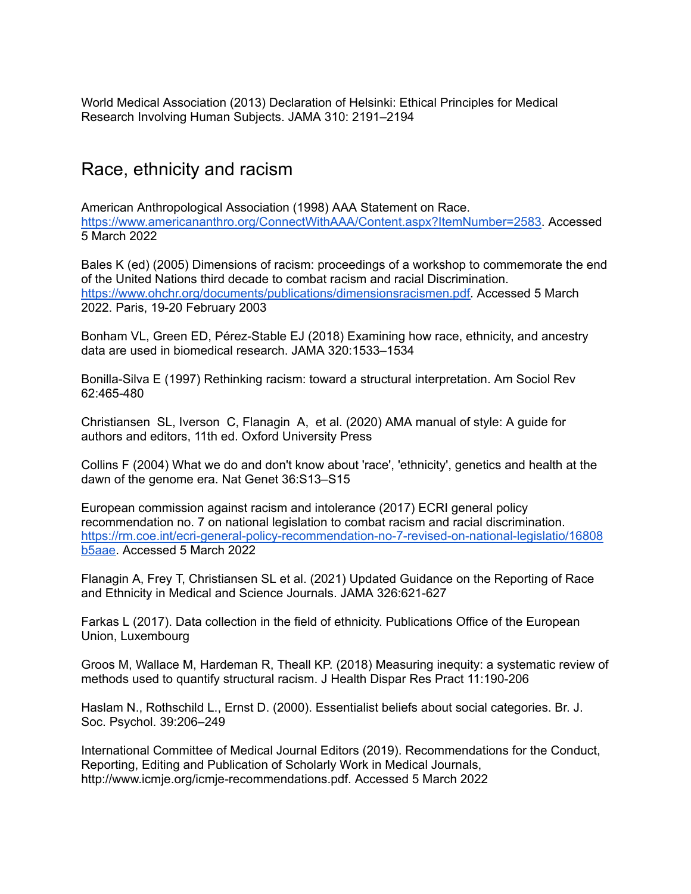World Medical Association (2013) Declaration of Helsinki: Ethical Principles for Medical Research Involving Human Subjects. JAMA 310: 2191–2194

### Race, ethnicity and racism

American Anthropological Association (1998) AAA Statement on Race. [https://www.americananthro.org/ConnectWithAAA/Content.aspx?ItemNumber=2583.](https://www.americananthro.org/ConnectWithAAA/Content.aspx?ItemNumber=2583) Accessed 5 March 2022

Bales K (ed) (2005) Dimensions of racism: proceedings of a workshop to commemorate the end of the United Nations third decade to combat racism and racial Discrimination. [https://www.ohchr.org/documents/publications/dimensionsracismen.pdf.](https://www.ohchr.org/documents/publications/dimensionsracismen.pdf) Accessed 5 March 2022. Paris, 19-20 February 2003

Bonham VL, Green ED, Pérez-Stable EJ (2018) Examining how race, ethnicity, and ancestry data are used in biomedical research. JAMA 320:1533–1534

Bonilla-Silva E (1997) Rethinking racism: toward a structural interpretation. Am Sociol Rev 62:465-480

Christiansen SL, Iverson C, Flanagin A, et al. (2020) AMA manual of style: A guide for authors and editors, 11th ed. Oxford University Press

Collins F (2004) What we do and don't know about 'race', 'ethnicity', genetics and health at the dawn of the genome era. Nat Genet 36:S13–S15

European commission against racism and intolerance (2017) ECRI general policy recommendation no. 7 on national legislation to combat racism and racial discrimination[.](https://rm.coe.int/ecri-general-policy-recommendation-no-7-revised-on-national-legislatio/16808b5aae) [https://rm.coe.int/ecri-general-policy-recommendation-no-7-revised-on-national-legislatio/16808](https://rm.coe.int/ecri-general-policy-recommendation-no-7-revised-on-national-legislatio/16808b5aae) [b5aae.](https://rm.coe.int/ecri-general-policy-recommendation-no-7-revised-on-national-legislatio/16808b5aae) Accessed 5 March 2022

Flanagin A, Frey T, Christiansen SL et al. (2021) Updated Guidance on the Reporting of Race and Ethnicity in Medical and Science Journals. JAMA 326:621-627

Farkas L (2017). Data collection in the field of ethnicity. Publications Office of the European Union, Luxembourg

Groos M, Wallace M, Hardeman R, Theall KP. (2018) Measuring inequity: a systematic review of methods used to quantify structural racism. J Health Dispar Res Pract 11:190-206

Haslam N., Rothschild L., Ernst D. (2000). Essentialist beliefs about social categories. Br. J. Soc. Psychol. 39:206–249

International Committee of Medical Journal Editors (2019). Recommendations for the Conduct, Reporting, Editing and Publication of Scholarly Work in Medical Journals, http://www.icmje.org/icmje-recommendations.pdf. Accessed 5 March 2022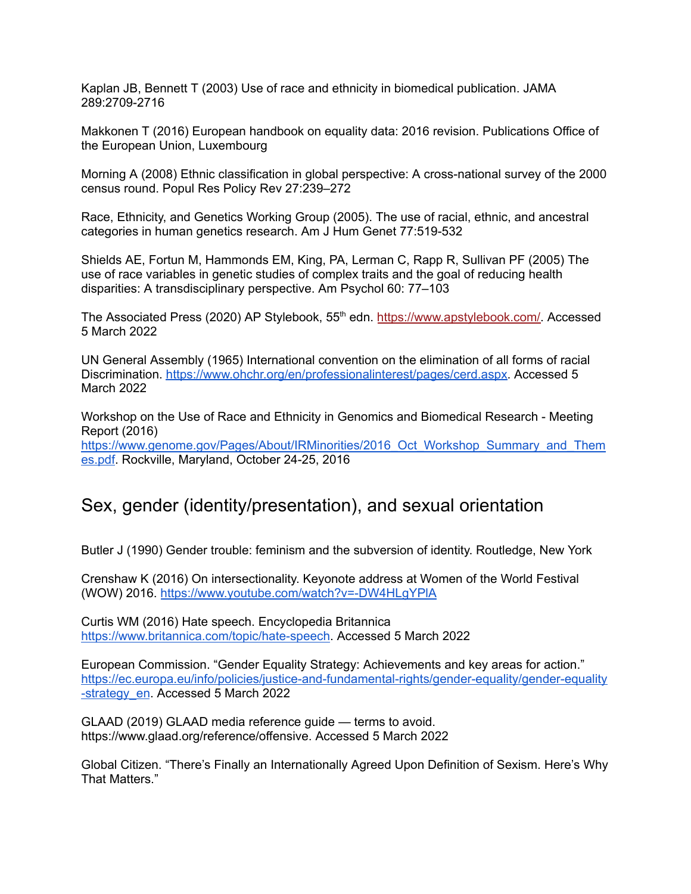Kaplan JB, Bennett T (2003) Use of race and ethnicity in biomedical publication. JAMA 289:2709-2716

Makkonen T (2016) European handbook on equality data: 2016 revision. Publications Office of the European Union, Luxembourg

Morning A (2008) Ethnic classification in global perspective: A cross-national survey of the 2000 census round. Popul Res Policy Rev 27:239–272

Race, Ethnicity, and Genetics Working Group (2005). The use of racial, ethnic, and ancestral categories in human genetics research. Am J Hum Genet 77:519-532

Shields AE, Fortun M, Hammonds EM, King, PA, Lerman C, Rapp R, Sullivan PF (2005) The use of race variables in genetic studies of complex traits and the goal of reducing health disparities: A transdisciplinary perspective. Am Psychol 60: 77–103

The Associated Press (2020) AP Stylebook, 55<sup>th</sup> edn. <https://www.apstylebook.com/>. Accessed 5 March 2022

UN General Assembly (1965) International convention on the elimination of all forms of racial Discrimination. [https://www.ohchr.org/en/professionalinterest/pages/cerd.aspx.](https://www.ohchr.org/en/professionalinterest/pages/cerd.aspx) Accessed 5 March 2022

Workshop on the Use of Race and Ethnicity in Genomics and Biomedical Research - Meeting Report (2016)

[https://www.genome.gov/Pages/About/IRMinorities/2016\\_Oct\\_Workshop\\_Summary\\_and\\_Them](https://www.genome.gov/Pages/About/IRMinorities/2016_Oct_Workshop_Summary_and_Themes.pdf) [es.pdf.](https://www.genome.gov/Pages/About/IRMinorities/2016_Oct_Workshop_Summary_and_Themes.pdf) Rockville, Maryland, October 24-25, 2016

### Sex, gender (identity/presentation), and sexual orientation

Butler J (1990) Gender trouble: feminism and the subversion of identity. Routledge, New York

Crenshaw K (2016) On intersectionality. Keyonote address at Women of the World Festival (WOW) 2016. <https://www.youtube.com/watch?v=-DW4HLgYPlA>

Curtis WM (2016) Hate speech. Encyclopedia Britannic[a](https://www.britannica.com/topic/hate-speech) <https://www.britannica.com/topic/hate-speech>. Accessed 5 March 2022

European Commission. "Gender Equality Strategy: Achievements and key areas for action." [https://ec.europa.eu/info/policies/justice-and-fundamental-rights/gender-equality/gender-equality](https://ec.europa.eu/info/policies/justice-and-fundamental-rights/gender-equality/gender-equality-strategy_en) [-strategy\\_en](https://ec.europa.eu/info/policies/justice-and-fundamental-rights/gender-equality/gender-equality-strategy_en). Accessed 5 March 2022

GLAAD (2019) GLAAD media reference guide — terms to avoid. https://www.glaad.org/reference/offensive. Accessed 5 March 2022

Global Citizen. "There's Finally an Internationally Agreed Upon Definition of Sexism. Here's Why That Matters."